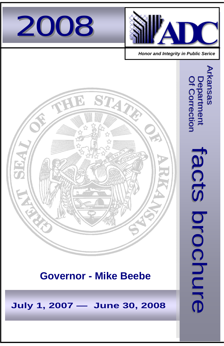



 *Honor and Integrity in Public Serice*

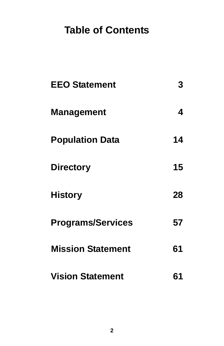# **Table of Contents**

| <b>EEO Statement</b>     | 3  |
|--------------------------|----|
| <b>Management</b>        | 4  |
| <b>Population Data</b>   | 14 |
| <b>Directory</b>         | 15 |
| <b>History</b>           | 28 |
| <b>Programs/Services</b> | 57 |
| <b>Mission Statement</b> | 61 |
| <b>Vision Statement</b>  | 61 |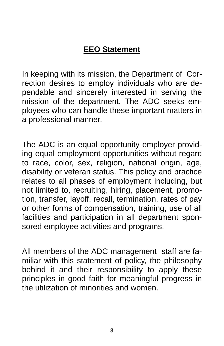## **EEO Statement**

In keeping with its mission, the Department of Correction desires to employ individuals who are dependable and sincerely interested in serving the mission of the department. The ADC seeks employees who can handle these important matters in a professional manner.

The ADC is an equal opportunity employer providing equal employment opportunities without regard to race, color, sex, religion, national origin, age, disability or veteran status. This policy and practice relates to all phases of employment including, but not limited to, recruiting, hiring, placement, promotion, transfer, layoff, recall, termination, rates of pay or other forms of compensation, training, use of all facilities and participation in all department sponsored employee activities and programs.

All members of the ADC management staff are familiar with this statement of policy, the philosophy behind it and their responsibility to apply these principles in good faith for meaningful progress in the utilization of minorities and women.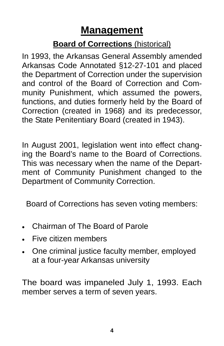# **Management**

## **Board of Corrections** (historical)

In 1993, the Arkansas General Assembly amended Arkansas Code Annotated §12-27-101 and placed the Department of Correction under the supervision and control of the Board of Correction and Community Punishment, which assumed the powers, functions, and duties formerly held by the Board of Correction (created in 1968) and its predecessor, the State Penitentiary Board (created in 1943).

In August 2001, legislation went into effect changing the Board's name to the Board of Corrections. This was necessary when the name of the Department of Community Punishment changed to the Department of Community Correction.

Board of Corrections has seven voting members:

- Chairman of The Board of Parole
- Five citizen members
- One criminal justice faculty member, employed at a four-year Arkansas university

The board was impaneled July 1, 1993. Each member serves a term of seven years.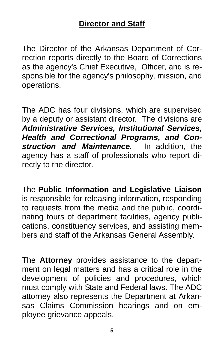The Director of the Arkansas Department of Correction reports directly to the Board of Corrections as the agency's Chief Executive, Officer, and is responsible for the agency's philosophy, mission, and operations.

The ADC has four divisions, which are supervised by a deputy or assistant director. The divisions are *Administrative Services, Institutional Services, Health and Correctional Programs, and Construction and Maintenance.* In addition, the agency has a staff of professionals who report directly to the director.

The **Public Information and Legislative Liaison** is responsible for releasing information, responding to requests from the media and the public, coordinating tours of department facilities, agency publications, constituency services, and assisting members and staff of the Arkansas General Assembly.

The **Attorney** provides assistance to the department on legal matters and has a critical role in the development of policies and procedures, which must comply with State and Federal laws. The ADC attorney also represents the Department at Arkansas Claims Commission hearings and on employee grievance appeals.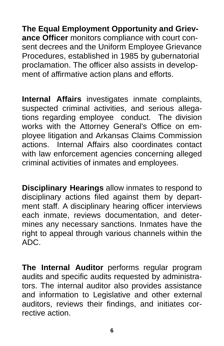**The Equal Employment Opportunity and Grievance Officer** monitors compliance with court consent decrees and the Uniform Employee Grievance Procedures, established in 1985 by gubernatorial proclamation. The officer also assists in development of affirmative action plans and efforts.

**Internal Affairs** investigates inmate complaints, suspected criminal activities, and serious allegations regarding employee conduct. The division works with the Attorney General's Office on employee litigation and Arkansas Claims Commission actions. Internal Affairs also coordinates contact with law enforcement agencies concerning alleged criminal activities of inmates and employees.

**Disciplinary Hearings** allow inmates to respond to disciplinary actions filed against them by department staff. A disciplinary hearing officer interviews each inmate, reviews documentation, and determines any necessary sanctions. Inmates have the right to appeal through various channels within the ADC.

**The Internal Auditor** performs regular program audits and specific audits requested by administrators. The internal auditor also provides assistance and information to Legislative and other external auditors, reviews their findings, and initiates corrective action.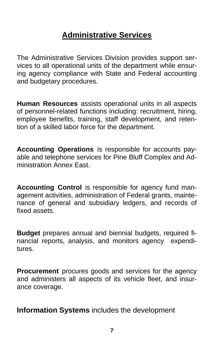## **Administrative Services**

The Administrative Services Division provides support services to all operational units of the department while ensuring agency compliance with State and Federal accounting and budgetary procedures.

**Human Resources** assists operational units in all aspects of personnel-related functions including: recruitment, hiring, employee benefits, training, staff development, and retention of a skilled labor force for the department.

**Accounting Operations** is responsible for accounts payable and telephone services for Pine Bluff Complex and Administration Annex East.

**Accounting Control** is responsible for agency fund management activities, administration of Federal grants, maintenance of general and subsidiary ledgers, and records of fixed assets.

**Budget** prepares annual and biennial budgets, required financial reports, analysis, and monitors agency expenditures.

**Procurement** procures goods and services for the agency and administers all aspects of its vehicle fleet, and insurance coverage.

**Information Systems** includes the development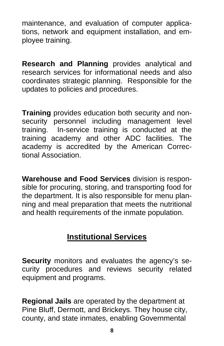maintenance, and evaluation of computer applications, network and equipment installation, and employee training.

**Research and Planning** provides analytical and research services for informational needs and also coordinates strategic planning. Responsible for the updates to policies and procedures.

**Training** provides education both security and nonsecurity personnel including management level training. In-service training is conducted at the training academy and other ADC facilities. The academy is accredited by the American Correctional Association.

**Warehouse and Food Services** division is responsible for procuring, storing, and transporting food for the department. It is also responsible for menu planning and meal preparation that meets the nutritional and health requirements of the inmate population.

## **Institutional Services**

**Security** monitors and evaluates the agency's security procedures and reviews security related equipment and programs.

**Regional Jails** are operated by the department at Pine Bluff, Dermott, and Brickeys. They house city, county, and state inmates, enabling Governmental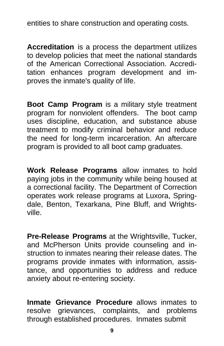entities to share construction and operating costs.

**Accreditation** is a process the department utilizes to develop policies that meet the national standards of the American Correctional Association. Accreditation enhances program development and improves the inmate's quality of life.

**Boot Camp Program** is a military style treatment program for nonviolent offenders. The boot camp uses discipline, education, and substance abuse treatment to modify criminal behavior and reduce the need for long-term incarceration. An aftercare program is provided to all boot camp graduates.

**Work Release Programs** allow inmates to hold paying jobs in the community while being housed at a correctional facility. The Department of Correction operates work release programs at Luxora, Springdale, Benton, Texarkana, Pine Bluff, and Wrightsville.

**Pre-Release Programs** at the Wrightsville, Tucker, and McPherson Units provide counseling and instruction to inmates nearing their release dates. The programs provide inmates with information, assistance, and opportunities to address and reduce anxiety about re-entering society.

**Inmate Grievance Procedure** allows inmates to resolve grievances, complaints, and problems through established procedures. Inmates submit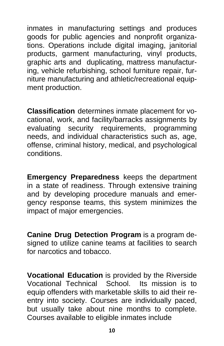inmates in manufacturing settings and produces goods for public agencies and nonprofit organizations. Operations include digital imaging, janitorial products, garment manufacturing, vinyl products, graphic arts and duplicating, mattress manufacturing, vehicle refurbishing, school furniture repair, furniture manufacturing and athletic/recreational equipment production.

**Classification** determines inmate placement for vocational, work, and facility/barracks assignments by evaluating security requirements, programming needs, and individual characteristics such as, age, offense, criminal history, medical, and psychological conditions.

**Emergency Preparedness** keeps the department in a state of readiness. Through extensive training and by developing procedure manuals and emergency response teams, this system minimizes the impact of major emergencies.

**Canine Drug Detection Program** is a program designed to utilize canine teams at facilities to search for narcotics and tobacco.

**Vocational Education** is provided by the Riverside Vocational Technical School. Its mission is to equip offenders with marketable skills to aid their reentry into society. Courses are individually paced, but usually take about nine months to complete. Courses available to eligible inmates include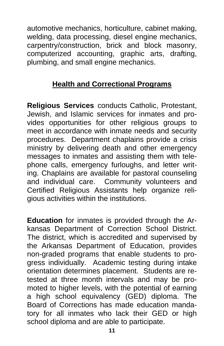automotive mechanics, horticulture, cabinet making, welding, data processing, diesel engine mechanics, carpentry/construction, brick and block masonry, computerized accounting, graphic arts, drafting, plumbing, and small engine mechanics.

#### **Health and Correctional Programs**

**Religious Services** conducts Catholic, Protestant, Jewish, and Islamic services for inmates and provides opportunities for other religious groups to meet in accordance with inmate needs and security procedures. Department chaplains provide a crisis ministry by delivering death and other emergency messages to inmates and assisting them with telephone calls, emergency furloughs, and letter writing. Chaplains are available for pastoral counseling and individual care. Community volunteers and Certified Religious Assistants help organize religious activities within the institutions.

**Education** for inmates is provided through the Arkansas Department of Correction School District. The district, which is accredited and supervised by the Arkansas Department of Education, provides non-graded programs that enable students to progress individually. Academic testing during intake orientation determines placement. Students are retested at three month intervals and may be promoted to higher levels, with the potential of earning a high school equivalency (GED) diploma. The Board of Corrections has made education mandatory for all inmates who lack their GED or high school diploma and are able to participate.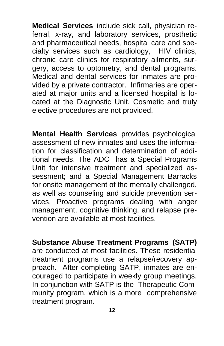**Medical Services** include sick call, physician referral, x-ray, and laboratory services, prosthetic and pharmaceutical needs, hospital care and specialty services such as cardiology, HIV clinics, chronic care clinics for respiratory ailments, surgery, access to optometry, and dental programs. Medical and dental services for inmates are provided by a private contractor. Infirmaries are operated at major units and a licensed hospital is located at the Diagnostic Unit. Cosmetic and truly elective procedures are not provided.

**Mental Health Services** provides psychological assessment of new inmates and uses the information for classification and determination of additional needs. The ADC has a Special Programs Unit for intensive treatment and specialized assessment; and a Special Management Barracks for onsite management of the mentally challenged, as well as counseling and suicide prevention services. Proactive programs dealing with anger management, cognitive thinking, and relapse prevention are available at most facilities.

**Substance Abuse Treatment Programs (SATP)**  are conducted at most facilities. These residential treatment programs use a relapse/recovery approach. After completing SATP, inmates are encouraged to participate in weekly group meetings. In conjunction with SATP is the Therapeutic Community program, which is a more comprehensive treatment program.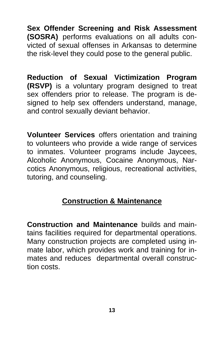**Sex Offender Screening and Risk Assessment (SOSRA)** performs evaluations on all adults convicted of sexual offenses in Arkansas to determine the risk-level they could pose to the general public.

**Reduction of Sexual Victimization Program (RSVP)** is a voluntary program designed to treat sex offenders prior to release. The program is designed to help sex offenders understand, manage, and control sexually deviant behavior.

**Volunteer Services** offers orientation and training to volunteers who provide a wide range of services to inmates. Volunteer programs include Jaycees, Alcoholic Anonymous, Cocaine Anonymous, Narcotics Anonymous, religious, recreational activities, tutoring, and counseling.

#### **Construction & Maintenance**

**Construction and Maintenance** builds and maintains facilities required for departmental operations. Many construction projects are completed using inmate labor, which provides work and training for inmates and reduces departmental overall construction costs.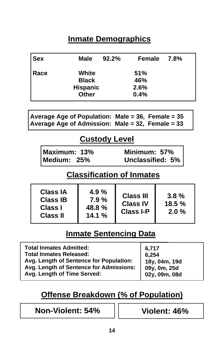## **Inmate Demographics**

| <b>Sex</b> | Male            | $92.2\%$ | Female 7.8% |  |
|------------|-----------------|----------|-------------|--|
| Race       | White           |          | <b>51%</b>  |  |
|            | <b>Black</b>    |          | 46%         |  |
|            | <b>Hispanic</b> |          | 2.6%        |  |
|            | <b>Other</b>    |          | 0.4%        |  |

| Average Age of Population: Male = 36, Female = $35$ |  |
|-----------------------------------------------------|--|
| Average Age of Admission: Male = 32, Female = 33    |  |

#### **Custody Level**

| Maximum: 13% |     |
|--------------|-----|
| Medium:      | 25% |

**Minimum: 57% Medium: 25% Unclassified: 5%** 

#### **Classification of Inmates**

#### **Inmate Sentencing Data**

## **Offense Breakdown (% of Population)**

**Non-Violent: 54% Violent: 46%**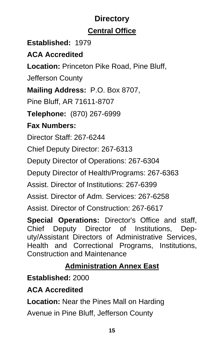## **Directory Central Office**

#### **Established:** 1979

#### **ACA Accredited**

**Location:** Princeton Pike Road, Pine Bluff,

Jefferson County

**Mailing Address:** P.O. Box 8707,

Pine Bluff, AR 71611-8707

**Telephone:** (870) 267-6999

## **Fax Numbers:**

Director Staff: 267-6244

Chief Deputy Director: 267-6313

Deputy Director of Operations: 267-6304

Deputy Director of Health/Programs: 267-6363

Assist. Director of Institutions: 267-6399

Assist. Director of Adm. Services: 267-6258

Assist. Director of Construction: 267-6617

**Special Operations:** Director's Office and staff, Chief Deputy Director of Institutions, Deputy/Assistant Directors of Administrative Services, Health and Correctional Programs, Institutions, Construction and Maintenance

## **Administration Annex East**

**Established:** 2000

#### **ACA Accredited**

**Location:** Near the Pines Mall on Harding

Avenue in Pine Bluff, Jefferson County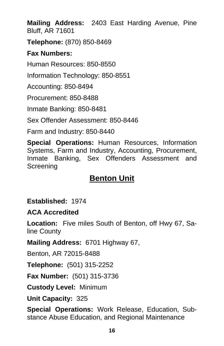**Mailing Address:** 2403 East Harding Avenue, Pine Bluff, AR 71601

**Telephone:** (870) 850-8469

#### **Fax Numbers:**

Human Resources: 850-8550

Information Technology: 850-8551

Accounting: 850-8494

Procurement: 850-8488

Inmate Banking: 850-8481

Sex Offender Assessment: 850-8446

Farm and Industry: 850-8440

**Special Operations:** Human Resources, Information Systems, Farm and Industry, Accounting, Procurement, Inmate Banking, Sex Offenders Assessment and Screening

## **Benton Unit**

**Established:** 1974

**ACA Accredited** 

**Location:** Five miles South of Benton, off Hwy 67, Saline County

**Mailing Address:** 6701 Highway 67,

Benton, AR 72015-8488

**Telephone:** (501) 315-2252

**Fax Number:** (501) 315-3736

**Custody Level:** Minimum

**Unit Capacity:** 325

**Special Operations:** Work Release, Education, Substance Abuse Education, and Regional Maintenance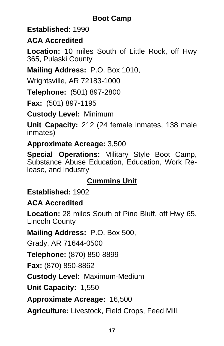#### **Boot Camp**

#### **Established:** 1990

#### **ACA Accredited**

**Location:** 10 miles South of Little Rock, off Hwy 365, Pulaski County

#### **Mailing Address:** P.O. Box 1010,

Wrightsville, AR 72183-1000

**Telephone:** (501) 897-2800

**Fax:** (501) 897-1195

**Custody Level:** Minimum

**Unit Capacity:** 212 (24 female inmates, 138 male inmates)

#### **Approximate Acreage:** 3,500

**Special Operations:** Military Style Boot Camp, Substance Abuse Education, Education, Work Release, and Industry

#### **Cummins Unit**

#### **Established:** 1902

#### **ACA Accredited**

**Location:** 28 miles South of Pine Bluff, off Hwy 65, Lincoln County

**Mailing Address:** P.O. Box 500,

Grady, AR 71644-0500

**Telephone:** (870) 850-8899

**Fax:** (870) 850-8862

**Custody Level:** Maximum-Medium

**Unit Capacity:** 1,550

**Approximate Acreage:** 16,500

**Agriculture:** Livestock, Field Crops, Feed Mill,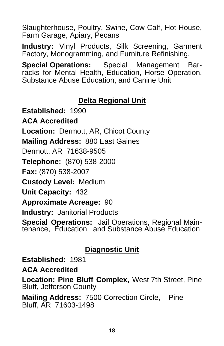Slaughterhouse, Poultry, Swine, Cow-Calf, Hot House, Farm Garage, Apiary, Pecans

**Industry:** Vinyl Products, Silk Screening, Garment Factory, Monogramming, and Furniture Refinishing.

**Special Operations:** Special Management Barracks for Mental Health, Education, Horse Operation, Substance Abuse Education, and Canine Unit

#### **Delta Regional Unit**

**Established:** 1990 **ACA Accredited Location:** Dermott, AR, Chicot County **Mailing Address:** 880 East Gaines Dermott, AR 71638-9505 **Telephone:** (870) 538-2000 **Fax:** (870) 538-2007 **Custody Level:** Medium **Unit Capacity:** 432 **Approximate Acreage:** 90 **Industry:** Janitorial Products **Special Operations:** Jail Operations, Regional Maintenance, Education, and Substance Abuse Education

#### **Diagnostic Unit**

**Established:** 1981

**ACA Accredited**

**Location: Pine Bluff Complex,** West 7th Street, Pine Bluff, Jefferson County

**Mailing Address:** 7500 Correction Circle, Pine Bluff, AR 71603-1498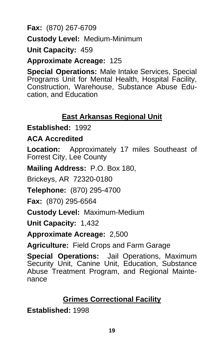**Fax:** (870) 267-6709

**Custody Level:** Medium-Minimum

**Unit Capacity:** 459

**Approximate Acreage:** 125

**Special Operations:** Male Intake Services, Special Programs Unit for Mental Health, Hospital Facility, Construction, Warehouse, Substance Abuse Education, and Education

#### **East Arkansas Regional Unit**

**Established:** 1992

#### **ACA Accredited**

**Location:** Approximately 17 miles Southeast of Forrest City, Lee County

**Mailing Address:** P.O. Box 180,

Brickeys, AR 72320-0180

**Telephone:** (870) 295-4700

**Fax:** (870) 295-6564

**Custody Level:** Maximum-Medium

**Unit Capacity:** 1,432

**Approximate Acreage:** 2,500

**Agriculture:** Field Crops and Farm Garage

**Special Operations:** Jail Operations, Maximum Security Unit, Canine Unit, Education, Substance Abuse Treatment Program, and Regional Maintenance

#### **Grimes Correctional Facility**

**Established:** 1998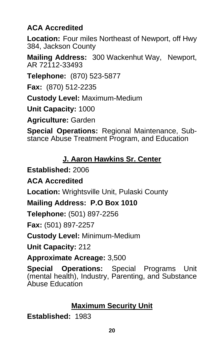#### **ACA Accredited**

**Location:** Four miles Northeast of Newport, off Hwy 384, Jackson County

**Mailing Address:** 300 Wackenhut Way, Newport, AR 72112-33493

**Telephone:** (870) 523-5877

**Fax:** (870) 512-2235

**Custody Level:** Maximum-Medium

**Unit Capacity:** 1000

**Agriculture:** Garden

**Special Operations:** Regional Maintenance, Substance Abuse Treatment Program, and Education

#### **J. Aaron Hawkins Sr. Center**

**Established:** 2006

**ACA Accredited**

**Location:** Wrightsville Unit, Pulaski County

**Mailing Address: P.O Box 1010** 

**Telephone:** (501) 897-2256

**Fax:** (501) 897-2257

**Custody Level:** Minimum-Medium

**Unit Capacity:** 212

**Approximate Acreage:** 3,500

**Special Operations:** Special Programs Unit (mental health), Industry, Parenting, and Substance Abuse Education

#### **Maximum Security Unit**

**Established:** 1983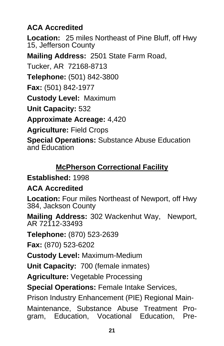#### **ACA Accredited**

**Location:** 25 miles Northeast of Pine Bluff, off Hwy 15, Jefferson County

**Mailing Address:** 2501 State Farm Road,

Tucker, AR 72168-8713

**Telephone:** (501) 842-3800

**Fax:** (501) 842-1977

**Custody Level:** Maximum

**Unit Capacity:** 532

**Approximate Acreage:** 4,420

**Agriculture:** Field Crops

**Special Operations:** Substance Abuse Education and Education

## **McPherson Correctional Facility**

#### **Established:** 1998

#### **ACA Accredited**

**Location:** Four miles Northeast of Newport, off Hwy 384, Jackson County

**Mailing Address:** 302 Wackenhut Way, Newport, AR 72112-33493

**Telephone:** (870) 523-2639

**Fax:** (870) 523-6202

**Custody Level:** Maximum-Medium

**Unit Capacity:** 700 (female inmates)

**Agriculture:** Vegetable Processing

**Special Operations: Female Intake Services,** 

Prison Industry Enhancement (PIE) Regional Main-

Maintenance, Substance Abuse Treatment Program, Education, Vocational Education, Pre-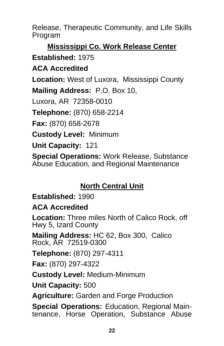Release, Therapeutic Community, and Life Skills Program

**Mississippi Co. Work Release Center Established:** 1975

**ACA Accredited** 

**Location:** West of Luxora, Mississippi County

**Mailing Address:** P.O. Box 10,

Luxora, AR 72358-0010

**Telephone:** (870) 658-2214

**Fax:** (870) 658-2678

**Custody Level:** Minimum

**Unit Capacity:** 121

**Special Operations:** Work Release, Substance Abuse Education, and Regional Maintenance

## **North Central Unit**

**Established:** 1990

#### **ACA Accredited**

**Location:** Three miles North of Calico Rock, off Hwy 5, Izard County

**Mailing Address:** HC 62, Box 300, Calico Rock, AR 72519-0300

**Telephone:** (870) 297-4311

**Fax:** (870) 297-4322

**Custody Level:** Medium-Minimum

**Unit Capacity:** 500

**Agriculture:** Garden and Forge Production

**Special Operations:** Education, Regional Maintenance, Horse Operation, Substance Abuse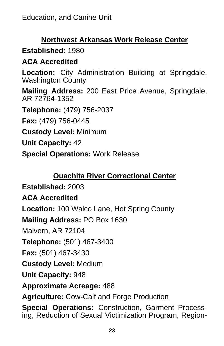#### **Northwest Arkansas Work Release Center**

## **Established:** 1980

#### **ACA Accredited**

**Location:** City Administration Building at Springdale, Washington County

**Mailing Address:** 200 East Price Avenue, Springdale, AR 72764-1352

**Telephone:** (479) 756-2037

**Fax:** (479) 756-0445

**Custody Level:** Minimum

**Unit Capacity:** 42

**Special Operations:** Work Release

#### **Ouachita River Correctional Center**

**Established:** 2003

**ACA Accredited** 

**Location:** 100 Walco Lane, Hot Spring County

**Mailing Address:** PO Box 1630

Malvern, AR 72104

**Telephone:** (501) 467-3400

**Fax:** (501) 467-3430

**Custody Level:** Medium

**Unit Capacity:** 948

**Approximate Acreage:** 488

**Agriculture:** Cow-Calf and Forge Production

**Special Operations:** Construction, Garment Processing, Reduction of Sexual Victimization Program, Region-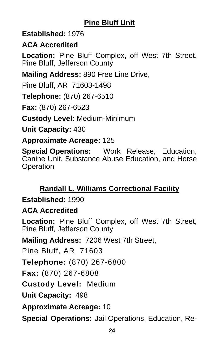## **Pine Bluff Unit**

#### **Established:** 1976

#### **ACA Accredited**

**Location:** Pine Bluff Complex, off West 7th Street, Pine Bluff, Jefferson County

**Mailing Address:** 890 Free Line Drive,

Pine Bluff, AR 71603-1498

**Telephone:** (870) 267-6510

**Fax:** (870) 267-6523

**Custody Level:** Medium-Minimum

**Unit Capacity:** 430

**Approximate Acreage:** 125

**Special Operations:** Work Release, Education, Canine Unit, Substance Abuse Education, and Horse **Operation** 

## **Randall L. Williams Correctional Facility**

**Established:** 1990

#### **ACA Accredited**

**Location:** Pine Bluff Complex, off West 7th Street, Pine Bluff, Jefferson County

**Mailing Address:** 7206 West 7th Street,

Pine Bluff, AR 71603

**Telephone:** (870) 267-6800

**Fax:** (870) 267-6808

**Custody Level:** Medium

**Unit Capacity:** 498

**Approximate Acreage:** 10

**Special Operations:** Jail Operations, Education, Re-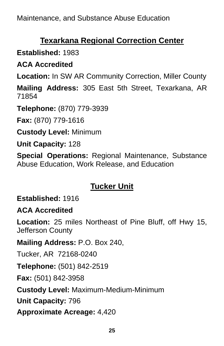## **Texarkana Regional Correction Center**

## **Established:** 1983

## **ACA Accredited**

**Location:** In SW AR Community Correction, Miller County

**Mailing Address:** 305 East 5th Street, Texarkana, AR 71854

**Telephone:** (870) 779-3939

**Fax:** (870) 779-1616

**Custody Level:** Minimum

**Unit Capacity:** 128

**Special Operations:** Regional Maintenance, Substance Abuse Education, Work Release, and Education

## **Tucker Unit**

**Established:** 1916

#### **ACA Accredited**

**Location:** 25 miles Northeast of Pine Bluff, off Hwy 15, Jefferson County

**Mailing Address:** P.O. Box 240,

Tucker, AR 72168-0240

**Telephone:** (501) 842-2519

**Fax:** (501) 842-3958

**Custody Level:** Maximum-Medium-Minimum

**Unit Capacity:** 796

**Approximate Acreage:** 4,420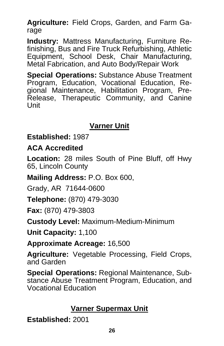**Agriculture:** Field Crops, Garden, and Farm Garage

**Industry:** Mattress Manufacturing, Furniture Refinishing, Bus and Fire Truck Refurbishing, Athletic Equipment, School Desk, Chair Manufacturing, Metal Fabrication, and Auto Body/Repair Work

**Special Operations:** Substance Abuse Treatment Program, Education, Vocational Education, Regional Maintenance, Habilitation Program, Pre-Release, Therapeutic Community, and Canine Unit

#### **Varner Unit**

**Established:** 1987

**ACA Accredited**

**Location:** 28 miles South of Pine Bluff, off Hwy 65, Lincoln County

**Mailing Address:** P.O. Box 600,

Grady, AR 71644-0600

**Telephone:** (870) 479-3030

**Fax:** (870) 479-3803

**Custody Level:** Maximum-Medium-Minimum

**Unit Capacity:** 1,100

**Approximate Acreage:** 16,500

**Agriculture:** Vegetable Processing, Field Crops, and Garden

**Special Operations:** Regional Maintenance, Substance Abuse Treatment Program, Education, and Vocational Education

## **Varner Supermax Unit**

**Established:** 2001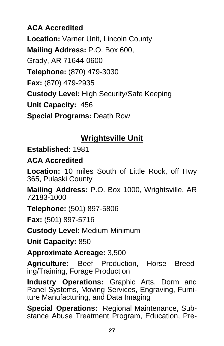**ACA Accredited Location:** Varner Unit, Lincoln County **Mailing Address:** P.O. Box 600, Grady, AR 71644-0600 **Telephone:** (870) 479-3030 **Fax:** (870) 479-2935 **Custody Level:** High Security/Safe Keeping **Unit Capacity:** 456 **Special Programs:** Death Row

## **Wrightsville Unit**

**Established:** 1981

#### **ACA Accredited**

**Location:** 10 miles South of Little Rock, off Hwy 365, Pulaski County

**Mailing Address:** P.O. Box 1000, Wrightsville, AR 72183-1000

**Telephone:** (501) 897-5806

**Fax:** (501) 897-5716

**Custody Level:** Medium-Minimum

**Unit Capacity:** 850

**Approximate Acreage:** 3,500

**Agriculture:** Beef Production, Horse Breeding/Training, Forage Production

**Industry Operations:** Graphic Arts, Dorm and Panel Systems, Moving Services, Engraving, Furniture Manufacturing, and Data Imaging

**Special Operations:** Regional Maintenance, Substance Abuse Treatment Program, Education, Pre-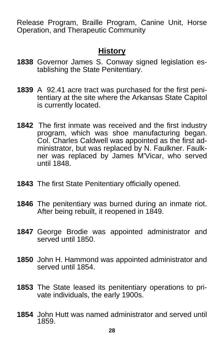Release Program, Braille Program, Canine Unit, Horse Operation, and Therapeutic Community

#### **History**

- **1838** Governor James S. Conway signed legislation establishing the State Penitentiary.
- **1839** A 92.41 acre tract was purchased for the first peni tentiary at the site where the Arkansas State Capitol is currently located.
- **1842** The first inmate was received and the first industry program, which was shoe manufacturing began. Col. Charles Caldwell was appointed as the first administrator, but was replaced by N. Faulkner. Faulkner was replaced by James M'Vicar, who served until 1848.
- **1843** The first State Penitentiary officially opened.
- **1846** The penitentiary was burned during an inmate riot. After being rebuilt, it reopened in 1849.
- **1847** George Brodie was appointed administrator and served until 1850.
- **1850** John H. Hammond was appointed administrator and served until 1854.
- **1853** The State leased its penitentiary operations to pri vate individuals, the early 1900s.
- **1854** John Hutt was named administrator and served until 1859.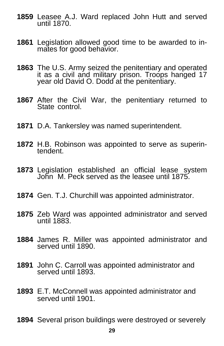- Leasee A.J. Ward replaced John Hutt and served until 1870.
- Legislation allowed good time to be awarded to in mates for good behavior.
- The U.S. Army seized the penitentiary and operated it as a civil and military prison. Troops hanged 17 year old David O. Dodd at the penitentiary.
- After the Civil War, the penitentiary returned to State control.
- D.A. Tankersley was named superintendent.
- H.B. Robinson was appointed to serve as superin- tendent.
- Legislation established an official lease system John M. Peck served as the leasee until 1875.
- Gen. T.J. Churchill was appointed administrator.
- Zeb Ward was appointed administrator and served until 1883.
- James R. Miller was appointed administrator and served until 1890.
- John C. Carroll was appointed administrator and served until 1893.
- E.T. McConnell was appointed administrator and served until 1901.
- Several prison buildings were destroyed or severely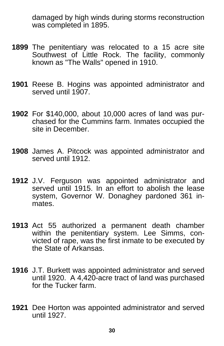damaged by high winds during storms reconstruction was completed in 1895.

- **1899** The penitentiary was relocated to a 15 acre site Southwest of Little Rock. The facility, commonly known as "The Walls" opened in 1910.
- **1901** Reese B. Hogins was appointed administrator and served until 1907.
- **1902** For \$140,000, about 10,000 acres of land was pur chased for the Cummins farm. Inmates occupied the site in December.
- **1908** James A. Pitcock was appointed administrator and served until 1912.
- **1912** J.V. Ferguson was appointed administrator and served until 1915. In an effort to abolish the lease system, Governor W. Donaghey pardoned 361 inmates.
- **1913** Act 55 authorized a permanent death chamber within the penitentiary system. Lee Simms, convicted of rape, was the first inmate to be executed by the State of Arkansas.
- **1916** J.T. Burkett was appointed administrator and served until 1920. A 4,420-acre tract of land was purchased for the Tucker farm.
- **1921** Dee Horton was appointed administrator and served until 1927.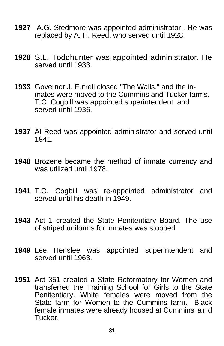- **1927** A.G. Stedmore was appointed administrator.. He was replaced by A. H. Reed, who served until 1928.
- **1928** S.L. Toddhunter was appointed administrator. He served until 1933.
- **1933** Governor J. Futrell closed "The Walls," and the in mates were moved to the Cummins and Tucker farms. T.C. Cogbill was appointed superintendent and served until 1936.
- **1937** Al Reed was appointed administrator and served until 1941.
- **1940** Brozene became the method of inmate currency and was utilized until 1978.
- **1941** T.C. Cogbill was re-appointed administrator and served until his death in 1949.
- **1943** Act 1 created the State Penitentiary Board. The use of striped uniforms for inmates was stopped.
- **1949** Lee Henslee was appointed superintendent and served until 1963.
- **1951** Act 351 created a State Reformatory for Women and transferred the Training School for Girls to the State Penitentiary. White females were moved from the State farm for Women to the Cummins farm. Black female inmates were already housed at Cummins a n d Tucker.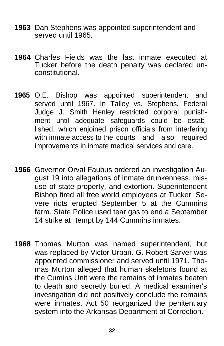- **1963** Dan Stephens was appointed superintendent and served until 1965.
- **1964** Charles Fields was the last inmate executed at Tucker before the death penalty was declared un constitutional.
- **1965** O.E. Bishop was appointed superintendent and served until 1967. In Talley vs. Stephens, Federal Judge J. Smith Henley restricted corporal punish ment until adequate safeguards could be estab lished, which enjoined prison officials from interfering with inmate access to the courts and also required improvements in inmate medical services and care.
- **1966** Governor Orval Faubus ordered an investigation Au gust 19 into allegations of inmate drunkenness, mis use of state property, and extortion. Superintendent Bishop fired all free world employees at Tucker. Se vere riots erupted September 5 at the Cummins farm. State Police used tear gas to end a September 14 strike at tempt by 144 Cummins inmates.
- **1968** Thomas Murton was named superintendent, but was replaced by Victor Urban. G. Robert Sarver was appointed commissioner and served until 1971. Tho mas Murton alleged that human skeletons found at the Cumins Unit were the remains of inmates beaten to death and secretly buried. A medical examiner's investigation did not positively conclude the remains were inmates. Act 50 reorganized the penitentiary system into the Arkansas Department of Correction.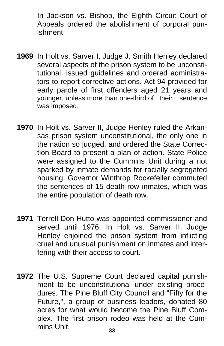In Jackson vs. Bishop, the Eighth Circuit Court of Appeals ordered the abolishment of corporal pun ishment.

- **1969** In Holt vs. Sarver I, Judge J. Smith Henley declared several aspects of the prison system to be unconsti tutional, issued guidelines and ordered administra tors to report corrective actions. Act 94 provided for early parole of first offenders aged 21 years and younger, unless more than one-third of their sentence was imposed.
- **1970** In Holt vs. Sarver II, Judge Henley ruled the Arkansas prison system unconstitutional, the only one in the nation so judged, and ordered the State Correction Board to present a plan of action. State Police were assigned to the Cummins Unit during a riot sparked by inmate demands for racially segregated housing. Governor Winthrop Rockefeller commuted the sentences of 15 death row inmates, which was the entire population of death row.
- **1971** Terrell Don Hutto was appointed commissioner and served until 1976. In Holt vs. Sarver II, Judge Henley enjoined the prison system from inflicting cruel and unusual punishment on inmates and interfering with their access to court.
- **1972** The U.S. Supreme Court declared capital punishment to be unconstitutional under existing procedures. The Pine Bluff City Council and "Fifty for the Future,", a group of business leaders, donated 80 acres for what would become the Pine Bluff Complex. The first prison rodeo was held at the Cummins Unit.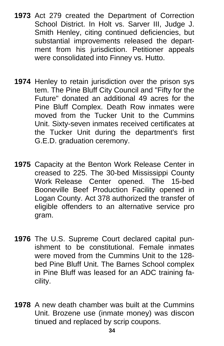- **1973** Act 279 created the Department of Correction School District. In Holt vs. Sarver III, Judge J. Smith Henley, citing continued deficiencies, but substantial improvements released the department from his jurisdiction. Petitioner appeals were consolidated into Finney vs. Hutto.
- **1974** Henley to retain jurisdiction over the prison sys tem. The Pine Bluff City Council and "Fifty for the Future" donated an additional 49 acres for the Pine Bluff Complex. Death Row inmates were moved from the Tucker Unit to the Cummins Unit. Sixty-seven inmates received certificates at the Tucker Unit during the department's first G.E.D. graduation ceremony.
- **1975** Capacity at the Benton Work Release Center in creased to 225. The 30-bed Mississippi County Work Release Center opened. The 15-bed Booneville Beef Production Facility opened in Logan County. Act 378 authorized the transfer of eligible offenders to an alternative service pro gram.
- **1976** The U.S. Supreme Court declared capital punishment to be constitutional. Female inmates were moved from the Cummins Unit to the 128 bed Pine Bluff Unit. The Barnes School complex in Pine Bluff was leased for an ADC training facility.
- **1978** A new death chamber was built at the Cummins Unit. Brozene use (inmate money) was discon tinued and replaced by scrip coupons.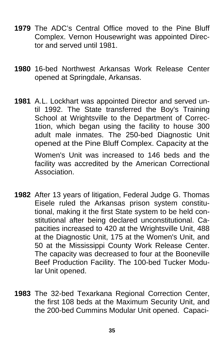- **1979** The ADC's Central Office moved to the Pine Bluff Complex. Vernon Housewright was appointed Director and served until 1981.
- **1980** 16-bed Northwest Arkansas Work Release Center opened at Springdale, Arkansas.
- **1981** A.L. Lockhart was appointed Director and served un til 1992. The State transferred the Boy's Training School at Wrightsville to the Department of Correc- 1tion, which began using the facility to house 300 adult male inmates. The 250-bed Diagnostic Unit opened at the Pine Bluff Complex. Capacity at the Women's Unit was increased to 146 beds and the facility was accredited by the American Correctional Association.
- **1982** After 13 years of litigation, Federal Judge G. Thomas Eisele ruled the Arkansas prison system constitu tional, making it the first State system to be held con stitutional after being declared unconstitutional. Ca pacities increased to 420 at the Wrightsville Unit, 488 at the Diagnostic Unit, 175 at the Women's Unit, and 50 at the Mississippi County Work Release Center. The capacity was decreased to four at the Booneville Beef Production Facility. The 100-bed Tucker Modu lar Unit opened.
- **1983** The 32-bed Texarkana Regional Correction Center, the first 108 beds at the Maximum Security Unit, and the 200-bed Cummins Modular Unit opened. Capaci-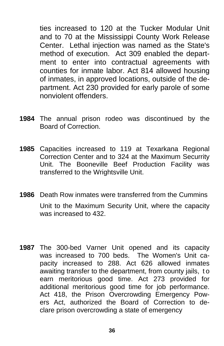ties increased to 120 at the Tucker Modular Unit and to 70 at the Mississippi County Work Release Center. Lethal injection was named as the State's method of execution. Act 309 enabled the depart ment to enter into contractual agreements with counties for inmate labor. Act 814 allowed housing of inmates, in approved locations, outside of the de partment. Act 230 provided for early parole of some nonviolent offenders.

- **1984** The annual prison rodeo was discontinued by the Board of Correction.
- **1985** Capacities increased to 119 at Texarkana Regional Correction Center and to 324 at the Maximum Securrity Unit. The Booneville Beef Production Facility was transferred to the Wrightsville Unit.
- **1986** Death Row inmates were transferred from the Cummins Unit to the Maximum Security Unit, where the capacity was increased to 432
- **1987** The 300-bed Varner Unit opened and its capacity was increased to 700 beds. The Women's Unit ca pacity increased to 288. Act 626 allowed inmates awaiting transfer to the department, from county jails, t o earn meritorious good time. Act 273 provided for additional meritorious good time for job performance. Act 418, the Prison Overcrowding Emergency Pow ers Act, authorized the Board of Correction to de clare prison overcrowding a state of emergency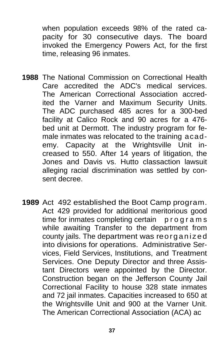when population exceeds 98% of the rated capacity for 30 consecutive days. The board invoked the Emergency Powers Act, for the first time, releasing 96 inmates.

- **1988** The National Commission on Correctional Health Care accredited the ADC's medical services. The American Correctional Association accred ited the Varner and Maximum Security Units. The ADC purchased 485 acres for a 300-bed facility at Calico Rock and 90 acres for a 476 bed unit at Dermott. The industry program for fe male inmates was relocated to the training acad emy. Capacity at the Wrightsville Unit in creased to 550. After 14 years of litigation, the Jones and Davis vs. Hutto classaction lawsuit alleging racial discrimination was settled by con sent decree.
- 1989 Act 492 established the Boot Camp program. Act 429 provided for additional meritorious good time for inmates completing certain programs while awaiting Transfer to the department from county jails. The department was reorganized into divisions for operations. Administrative Ser vices, Field Services, Institutions, and Treatment Services. One Deputy Director and three Assis tant Directors were appointed by the Director. Construction began on the Jefferson County Jail Correctional Facility to house 328 state inmates and 72 jail inmates. Capacities increased to 650 at the Wrightsville Unit and 900 at the Varner Unit. The American Correctional Association (ACA) ac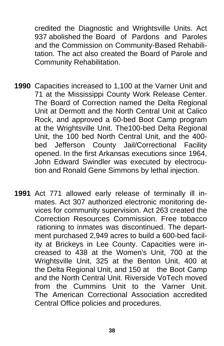credited the Diagnostic and Wrightsville Units. Act 937 abolished the Board of Pardons and Paroles and the Commission on Community-Based Rehabili tation. The act also created the Board of Parole and Community Rehabilitation.

- **1990** Capacities increased to 1,100 at the Varner Unit and 71 at the Mississippi County Work Release Center. The Board of Correction named the Delta Regional Unit at Dermott and the North Central Unit at Calico Rock, and approved a 60-bed Boot Camp program at the Wrightsville Unit. The100-bed Delta Regional Unit, the 100 bed North Central Unit, and the 400 bed Jefferson County Jail/Correctional Facility opened. In the first Arkansas executions since 1964, John Edward Swindler was executed by electrocu tion and Ronald Gene Simmons by lethal injection.
- **1991** Act 771 allowed early release of terminally ill in mates. Act 307 authorized electronic monitoring de vices for community supervision. Act 263 created the Correction Resources Commission. Free tobacco rationing to inmates was discontinued. The depart ment purchased 2,949 acres to build a 600-bed facil ity at Brickeys in Lee County. Capacities were in creased to 438 at the Women's Unit, 700 at the Wrightsville Unit, 325 at the Benton Unit, 400 at the Delta Regional Unit, and 150 at the Boot Camp and the North Central Unit. Riverside VoTech moved from the Cummins Unit to the Varner Unit. The American Correctional Association accredited Central Office policies and procedures.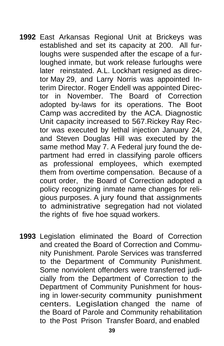- **1992** East Arkansas Regional Unit at Brickeys was established and set its capacity at 200. All fur loughs were suspended after the escape of a fur loughed inmate, but work release furloughs were later reinstated. A.L. Lockhart resigned as direc tor May 29, and Larry Norris was appointed In terim Director. Roger Endell was appointed Direc tor in November. The Board of Correction adopted by-laws for its operations. The Boot Camp was accredited by the ACA. Diagnostic Unit capacity increased to 567.Rickey Ray Rec tor was executed by lethal injection January 24, and Steven Douglas Hill was executed by the same method May 7. A Federal jury found the de partment had erred in classifying parole officers as professional employees, which exempted them from overtime compensation. Because of a court order, the Board of Correction adopted a policy recognizing inmate name changes for reli gious purposes. A jury found that assignments to administrative segregation had not violated the rights of five hoe squad workers.
- **1993** Legislation eliminated the Board of Correction and created the Board of Correction and Commu nity Punishment. Parole Services was transferred to the Department of Community Punishment. Some nonviolent offenders were transferred judi cially from the Department of Correction to the Department of Community Punishment for hous ing in lower-security community punishment centers. Legislation changed the name of the Board of Parole and Community rehabilitation to the Post Prison Transfer Board, and enabled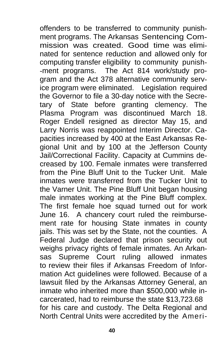offenders to be transferred to community punishment programs. The Arkansas Sentencing Commission was created. Good time was eliminated for sentence reduction and allowed only for computing transfer eligibility to community punish- -ment programs. The Act 814 work/study pro gram and the Act 378 alternative community service program were eliminated. Legislation required the Governor to file a 30-day notice with the Secretary of State before granting clemency. The Plasma Program was discontinued March 18. Roger Endell resigned as director May 15, and Larry Norris was reappointed Interim Director. Capacities increased by 400 at the East Arkansas Regional Unit and by 100 at the Jefferson County Jail/Correctional Facility. Capacity at Cummins decreased by 100. Female inmates were transferred from the Pine Bluff Unit to the Tucker Unit. Male inmates were transferred from the Tucker Unit to the Varner Unit. The Pine Bluff Unit began housing male inmates working at the Pine Bluff complex. The first female hoe squad turned out for work June 16. A chancery court ruled the reimbursement rate for housing State inmates in county jails. This was set by the State, not the counties. A Federal Judge declared that prison security out weighs privacy rights of female inmates. An Arkansas Supreme Court ruling allowed inmates to review their files if Arkansas Freedom of Information Act guidelines were followed. Because of a lawsuit filed by the Arkansas Attorney General, an inmate who inherited more than \$500,000 while incarcerated, had to reimburse the state \$13,723.68 for his care and custody. The Delta Regional and North Central Units were accredited by the Ameri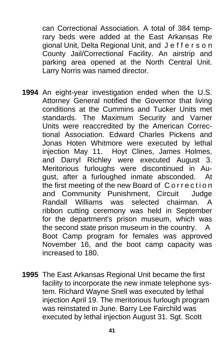can Correctional Association. A total of 384 temp rary beds were added at the East Arkansas Re gional Unit, Delta Regional Unit, and J e f f e r s o n County Jail/Correctional Facility. An airstrip and parking area opened at the North Central Unit. Larry Norris was named director.

- **1994** An eight-year investigation ended when the U.S. Attorney General notified the Governor that living conditions at the Cummins and Tucker Units met standards. The Maximum Security and Varner Units were reaccredited by the American Correc tional Association. Edward Charles Pickens and Jonas Hoten Whitmore were executed by lethal injection May 11. Hoyt Clines, James Holmes, and Darryl Richley were executed August 3. Meritorious furloughs were discontinued in Au gust, after a furloughed inmate absconded. At the first meeting of the new Board of Correction and Community Punishment, Circuit Judge Randall Williams was selected chairman. A ribbon cutting ceremony was held in September for the department's prison museum, which was the second state prison museum in the country. A Boot Camp program for females was approved November 16, and the boot camp capacity was increased to 180.
- **1995** The East Arkansas Regional Unit became the first facility to incorporate the new inmate telephone sys tem. Richard Wayne Snell was executed by lethal injection April 19. The meritorious furlough program was reinstated in June. Barry Lee Fairchild was executed by lethal injection August 31. Sgt. Scott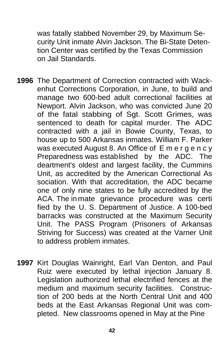was fatally stabbed November 29, by Maximum Se curity Unit inmate Alvin Jackson. The Bi-State Deten tion Center was certified by the Texas Commission on Jail Standards.

- **1996** The Department of Correction contracted with Wack enhut Corrections Corporation, in June, to build and manage two 600-bed adult correctional facilities at Newport. Alvin Jackson, who was convicted June 20 of the fatal stabbing of Sgt. Scott Grimes, was sentenced to death for capital murder. The ADC contracted with a jail in Bowie County, Texas, to house up to 500 Arkansas inmates. William F. Parker was executed August 8. An Office of E m e r g e n c y Preparedness was established by the ADC. The deartment's oldest and largest facility, the Cummins Unit, as accredited by the American Correctional As sociation. With that accreditation, the ADC became one of only nine states to be fully accredited by the ACA. The in mate grievance procedure was certi fied by the U. S. Department of Justice. A 100-bed barracks was constructed at the Maximum Security Unit. The PASS Program (Prisoners of Arkansas Striving for Success) was created at the Varner Unit to address problem inmates.
- **1997** Kirt Douglas Wainright, Earl Van Denton, and Paul Ruiz were executed by lethal injection January 8. Legislation authorized lethal electrified fences at the medium and maximum security facilities. Construc tion of 200 beds at the North Central Unit and 400 beds at the East Arkansas Regional Unit was com pleted. New classrooms opened in May at the Pine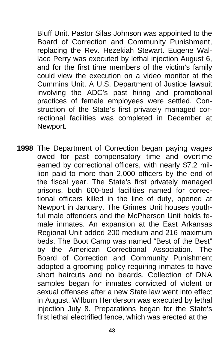Bluff Unit. Pastor Silas Johnson was appointed to the Board of Correction and Community Punishment, replacing the Rev. Hezekiah Stewart. Eugene Wal lace Perry was executed by lethal injection August 6, and for the first time members of the victim's family could view the execution on a video monitor at the Cummins Unit. A U.S. Department of Justice lawsuit involving the ADC's past hiring and promotional practices of female employees were settled. Con struction of the State's first privately managed cor rectional facilities was completed in December at Newport.

**1998** The Department of Correction began paying wages owed for past compensatory time and overtime earned by correctional officers, with nearly \$7.2 mil lion paid to more than 2,000 officers by the end of the fiscal year. The State's first privately managed prisons, both 600-bed facilities named for correc tional officers killed in the line of duty, opened at Newport in January. The Grimes Unit houses youth ful male offenders and the McPherson Unit holds fe male inmates. An expansion at the East Arkansas Regional Unit added 200 medium and 216 maximum beds. The Boot Camp was named "Best of the Best" by the American Correctional Association. The Board of Correction and Community Punishment adopted a grooming policy requiring inmates to have short haircuts and no beards. Collection of DNA samples began for inmates convicted of violent or sexual offenses after a new State law went into effect in August. Wilburn Henderson was executed by lethal injection July 8. Preparations began for the State's first lethal electrified fence, which was erected at the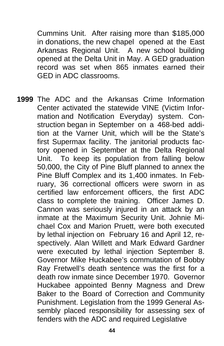Cummins Unit. After raising more than \$185,000 in donations, the new chapel opened at the East Arkansas Regional Unit. A new school building opened at the Delta Unit in May. A GED graduation record was set when 865 inmates earned their GED in ADC classrooms.

**1999** The ADC and the Arkansas Crime Information Center activated the statewide VINE (Victim Infor mation and Notification Everyday) system. Con struction began in September on a 468-bed addi tion at the Varner Unit, which will be the State's first Supermax facility. The janitorial products fac tory opened in September at the Delta Regional Unit. To keep its population from falling below 50,000, the City of Pine Bluff planned to annex the Pine Bluff Complex and its 1,400 inmates. In Feb ruary, 36 correctional officers were sworn in as certified law enforcement officers, the first ADC class to complete the training. Officer James D. Cannon was seriously injured in an attack by an inmate at the Maximum Security Unit. Johnie Mi chael Cox and Marion Pruett, were both executed by lethal injection on February 16 and April 12, re spectively. Alan Willett and Mark Edward Gardner were executed by lethal injection September 8. Governor Mike Huckabee's commutation of Bobby Ray Fretwell's death sentence was the first for a death row inmate since December 1970. Governor Huckabee appointed Benny Magness and Drew Baker to the Board of Correction and Community Punishment. Legislation from the 1999 General As sembly placed responsibility for assessing sex of fenders with the ADC and required Legislative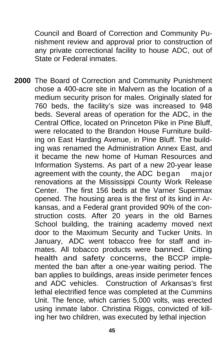Council and Board of Correction and Community Pu nishment review and approval prior to construction of any private correctional facility to house ADC, out of State or Federal inmates.

**2000** The Board of Correction and Community Punishment chose a 400-acre site in Malvern as the location of a medium security prison for males. Originally slated for 760 beds, the facility's size was increased to 948 beds. Several areas of operation for the ADC, in the Central Office, located on Princeton Pike in Pine Bluff, were relocated to the Brandon House Furniture build ing on East Harding Avenue, in Pine Bluff. The build ing was renamed the Administration Annex East, and it became the new home of Human Resources and Information Systems. As part of a new 20-year lease agreement with the county, the ADC began major renovations at the Mississippi County Work Release Center. The first 156 beds at the Varner Supermax opened. The housing area is the first of its kind in Ar kansas, and a Federal grant provided 90% of the con struction costs. After 20 years in the old Barnes School building, the training academy moved next door to the Maximum Security and Tucker Units. In January, ADC went tobacco free for staff and in mates. All tobacco products were banned. Citing health and safety concerns, the BCCP imple mented the ban after a one-year waiting period. The ban applies to buildings, areas inside perimeter fences and ADC vehicles. Construction of Arkansas's first lethal electrified fence was completed at the Cummins Unit. The fence, which carries 5,000 volts, was erected using inmate labor. Christina Riggs, convicted of kill ing her two children, was executed by lethal injection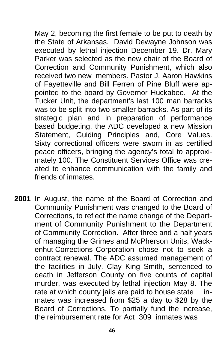May 2, becoming the first female to be put to death by the State of Arkansas. David Dewayne Johnson was executed by lethal injection December 19. Dr. Mary Parker was selected as the new chair of the Board of Correction and Community Punishment, which also received two new members. Pastor J. Aaron Hawkins of Fayetteville and Bill Ferren of Pine Bluff were ap pointed to the board by Governor Huckabee. At the Tucker Unit, the department's last 100 man barracks was to be split into two smaller barracks. As part of its strategic plan and in preparation of performance based budgeting, the ADC developed a new Mission Statement, Guiding Principles and, Core Values. Sixty correctional officers were sworn in as certified peace officers, bringing the agency's total to approxi mately 100. The Constituent Services Office was cre ated to enhance communication with the family and friends of inmates.

**2001** In August, the name of the Board of Correction and Community Punishment was changed to the Board of Corrections, to reflect the name change of the Depart ment of Community Punishment to the Department of Community Correction. After three and a half years of managing the Grimes and McPherson Units, Wack enhut Corrections Corporation chose not to seek a contract renewal. The ADC assumed management of the facilities in July. Clay King Smith, sentenced to death in Jefferson County on five counts of capital murder, was executed by lethal injection May 8. The rate at which county jails are paid to house state in mates was increased from \$25 a day to \$28 by the Board of Corrections. To partially fund the increase, the reimbursement rate for Act 309 inmates was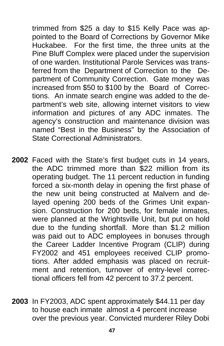trimmed from \$25 a day to \$15 Kelly Pace was ap pointed to the Board of Corrections by Governor Mike Huckabee. For the first time, the three units at the Pine Bluff Complex were placed under the supervision of one warden. Institutional Parole Services was trans ferred from the Department of Correction to the De partment of Community Correction. Gate money was increased from \$50 to \$100 by the Board of Correc tions. An inmate search engine was added to the de partment's web site, allowing internet visitors to view information and pictures of any ADC inmates. The agency's construction and maintenance division was named "Best in the Business" by the Association of State Correctional Administrators

- **2002** Faced with the State's first budget cuts in 14 years, the ADC trimmed more than \$22 million from its operating budget. The 11 percent reduction in funding forced a six-month delay in opening the first phase of the new unit being constructed at Malvern and de layed opening 200 beds of the Grimes Unit expan sion. Construction for 200 beds, for female inmates, were planned at the Wrightsville Unit, but put on hold due to the funding shortfall. More than \$1.2 million was paid out to ADC employees in bonuses through the Career Ladder Incentive Program (CLIP) during FY2002 and 451 employees received CLIP promo tions. After added emphasis was placed on recruit ment and retention, turnover of entry-level correc tional officers fell from 42 percent to 37.2 percent.
- **2003** In FY2003, ADC spent approximately \$44.11 per day to house each inmate almost a 4 percent increase over the previous year. Convicted murderer Riley Dobi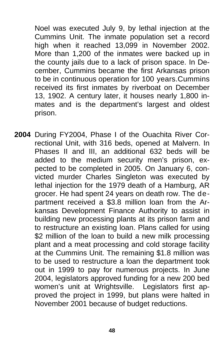Noel was executed July 9, by lethal injection at the Cummins Unit. The inmate population set a record high when it reached 13,099 in November 2002. More than 1,200 of the inmates were backed up in the county jails due to a lack of prison space. In De cember, Cummins became the first Arkansas prison to be in continuous operation for 100 years.Cummins received its first inmates by riverboat on December 13, 1902. A century later, it houses nearly 1,800 in mates and is the department's largest and oldest prison.

**2004** During FY2004, Phase I of the Ouachita River Cor rectional Unit, with 316 beds, opened at Malvern. In Phases II and III, an additional 632 beds will be added to the medium security men's prison, ex pected to be completed in 2005. On January 6, con victed murder Charles Singleton was executed by lethal injection for the 1979 death of a Hamburg, AR grocer. He had spent 24 years on death row. The de partment received a \$3.8 million loan from the Ar kansas Development Finance Authority to assist in building new processing plants at its prison farm and to restructure an existing loan. Plans called for using \$2 million of the loan to build a new milk processing plant and a meat processing and cold storage facility at the Cummins Unit. The remaining \$1.8 million was to be used to restructure a loan the department took out in 1999 to pay for numerous projects. In June 2004, legislators approved funding for a new 200 bed women's unit at Wrightsville. Legislators first ap proved the project in 1999, but plans were halted in November 2001 because of budget reductions.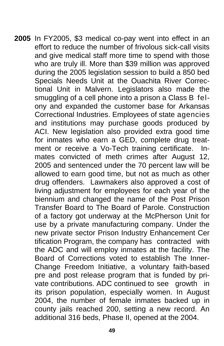**2005** In FY2005, \$3 medical co-pay went into effect in an effort to reduce the number of frivolous sick-call visits and give medical staff more time to spend with those who are truly ill. More than \$39 million was approved during the 2005 legislation session to build a 850 bed Specials Needs Unit at the Ouachita River Correc tional Unit in Malvern. Legislators also made the smuggling of a cell phone into a prison a Class B fel ony and expanded the customer base for Arkansas Correctional Industries. Employees of state agencies and institutions may purchase goods produced by ACI. New legislation also provided extra good time for inmates who earn a GED, complete drug treat ment or receive a Vo-Tech training certificate. In mates convicted of meth crimes after August 12, 2005 and sentenced under the 70 percent law will be allowed to earn good time, but not as much as other drug offenders. Lawmakers also approved a cost of living adjustment for employees for each year of the biennium and changed the name of the Post Prison Transfer Board to The Board of Parole. Construction of a factory got underway at the McPherson Unit for use by a private manufacturing company. Under the new private sector Prison Industry Enhancement Cer tification Program, the company has contracted with the ADC and will employ inmates at the facility. The Board of Corrections voted to establish The Inner- Change Freedom Initiative, a voluntary faith-based pre and post release program that is funded by pri vate contributions. ADC continued to see growth in its prison population, especially women. In August 2004, the number of female inmates backed up in county jails reached 200, setting a new record. An additional 316 beds, Phase II, opened at the 2004.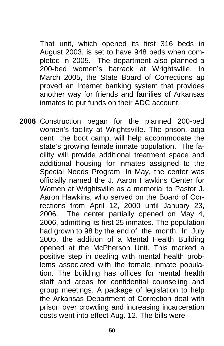That unit, which opened its first 316 beds in August 2003, is set to have 948 beds when com pleted in 2005. The department also planned a 200-bed women's barrack at Wrightsville. In March 2005, the State Board of Corrections ap proved an Internet banking system that provides another way for friends and families of Arkansas inmates to put funds on their ADC account.

**2006** Construction began for the planned 200-bed women's facility at Wrightsville. The prison, adja cent the boot camp, will help accommodate the state's growing female inmate population. The fa cility will provide additional treatment space and additional housing for inmates assigned to the Special Needs Program. In May, the center was officially named the J. Aaron Hawkins Center for Women at Wrightsville as a memorial to Pastor J. Aaron Hawkins, who served on the Board of Cor rections from April 12, 2000 until January 23, 2006. The center partially opened on May 4, 2006, admitting its first 25 inmates. The population had grown to 98 by the end of the month. In July 2005, the addition of a Mental Health Building opened at the McPherson Unit. This marked a positive step in dealing with mental health prob lems associated with the female inmate popula tion. The building has offices for mental health staff and areas for confidential counseling and group meetings. A package of legislation to help the Arkansas Department of Correction deal with prison over crowding and increasing incarceration costs went into effect Aug. 12. The bills were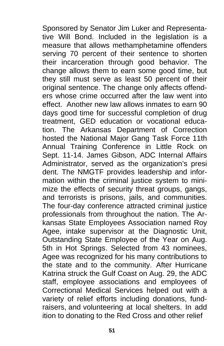Sponsored by Senator Jim Luker and Representa tive Will Bond. Included in the legislation is a measure that allows methamphetamine offenders serving 70 percent of their sentence to shorten their incarceration through good behavior. The change allows them to earn some good time, but they still must serve as least 50 percent of their original sentence. The change only affects offend ers whose crime occurred after the law went into effect. Another new law allows inmates to earn 90 days good time for successful completion of drug treatment, GED education or vocational educa tion. The Arkansas Department of Correction hosted the National Major Gang Task Force 11th Annual Training Conference in Little Rock on Sept. 11-14. James Gibson, ADC Internal Affairs Administrator, served as the organization's presi dent. The NMGTF provides leadership and infor mation within the criminal justice system to mini mize the effects of security threat groups, gangs, and terrorists is prisons, jails, and communities. The four-day conference attracted criminal justice professionals from throughout the nation. The Ar kansas State Employees Association named Roy Agee, intake supervisor at the Diagnostic Unit, Outstanding State Employee of the Year on Aug. 5th in Hot Springs. Selected from 43 nominees, Agee was recognized for his many contributions to the state and to the community. After Hurricane Katrina struck the Gulf Coast on Aug. 29, the ADC staff, employee associations and employees of Correctional Medical Services helped out with a variety of relief efforts including donations, fund raisers, and volunteering at local shelters. In add ition to donating to the Red Cross and other relief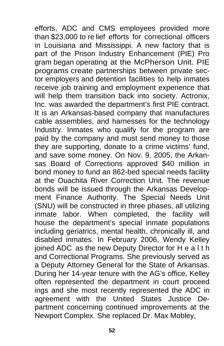efforts, ADC and CMS employees provided more than \$23,000 to re lief efforts for correctional officers in Louisiana and Mississippi. A new factory that is part of the Prison Industry Enhancement (PIE) Pro gram began operating at the McPherson Unit. PIE programs create partnerships between private sec tor employers and detention facilities to help inmates receive job training and employment experience that will help them transition back into society. Actronix, Inc. was awarded the department's first PIE contract. It is an Arkansas-based company that manufactures cable assemblies, and harnesses for the technology Industry. Inmates who qualify for the program are paid by the company and must send money to those they are supporting, donate to a crime victims' fund, and save some money. On Nov. 9, 2005, the Arkan sas Board of Corrections approved \$40 million in bond money to fund an 862-bed special needs facility at the Ouachita River Correction Unit. The revenue bonds will be issued through the Arkansas Develop ment Finance Authority. The Special Needs Unit (SNU) will be constructed in three phases, all utilizing inmate labor. When completed, the facility will house the department's special inmate populations including geriatrics, mental health, chronically ill, and disabled inmates. In February 2006, Wendy Kelley joined ADC as the new Deputy Director for H e a l t h and Correctional Programs. She previously served as a Deputy Attorney General for the State of Arkansas. During her 14-year tenure with the AG's office, Kelley often represented the department in court proceed ings and she most recently represented the ADC in agreement with the United States Justice De partment concerning continued improvements at the Newport Complex. She replaced Dr. Max Mobley,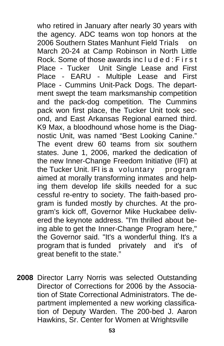who retired in January after nearly 30 years with the agency. ADC teams won top honors at the 2006 Southern States Manhunt Field Trials on March 20-24 at Camp Robinson in North Little Rock. Some of those awards included:  $First$  Place - Tucker Unit Single Lease and First Place - EARU - Multiple Lease and First Place - Cummins Unit-Pack Dogs. The depart ment swept the team marksmanship competition and the pack-dog competition. The Cummins pack won first place, the Tucker Unit took sec ond, and East Arkansas Regional earned third. K9 Max, a bloodhound whose home is the Diag nostic Unit, was named "Best Looking Canine." The event drew 60 teams from six southern states. June 1, 2006, marked the dedication of the new Inner-Change Freedom Initiative (IFI) at the Tucker Unit. IFI is a voluntary program aimed at morally transforming inmates and help ing them develop life skills needed for a suc cessful re-entry to society. The faith-based pro gram is funded mostly by churches. At the pro gram's kick off, Governor Mike Huckabee deliv ered the keynote address. "I'm thrilled about be ing able to get the Inner-Change Program here," the Governor said. "It's a wonderful thing. It's a program that is funded privately and it's of great benefit to the state."

**2008** Director Larry Norris was selected Outstanding Director of Corrections for 2006 by the Associa tion of State Correctional Administrators. The de partment implemented a new working classifica tion of Deputy Warden. The 200-bed J. Aaron Hawkins, Sr. Center for Women at Wrightsville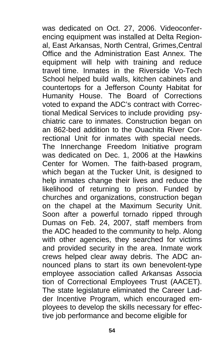was dedicated on Oct. 27, 2006. Videoconfer encing equipment was installed at Delta Region al, East Arkansas, North Central, Grimes,Central Office and the Administration East Annex. The equipment will help with training and reduce travel time. Inmates in the Riverside Vo-Tech School helped build walls, kitchen cabinets and countertops for a Jefferson County Habitat for Humanity House. The Board of Corrections voted to expand the ADC's contract with Correc tional Medical Services to include providing psy chiatric care to inmates. Construction began on an 862-bed addition to the Ouachita River Cor rectional Unit for inmates with special needs. The Innerchange Freedom Initiative program was dedicated on Dec. 1, 2006 at the Hawkins Center for Women. The faith-based program, which began at the Tucker Unit, is designed to help inmates change their lives and reduce the likelihood of returning to prison. Funded by churches and organizations, construction began on the chapel at the Maximum Security Unit. Soon after a powerful tornado ripped through Dumas on Feb. 24, 2007, staff members from the ADC headed to the community to help. Along with other agencies, they searched for victims and provided security in the area. Inmate work crews helped clear away debris. The ADC an nounced plans to start its own benevolent-type employee association called Arkansas Associa tion of Correctional Employees Trust (AACET). The state legislature eliminated the Career Lad der Incentive Program, which encouraged em ployees to develop the skills necessary for effec tive job performance and become eligible for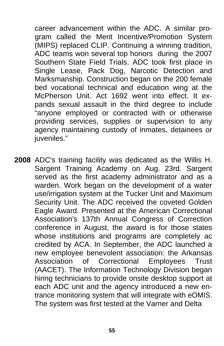career advancement within the ADC. A similar pro gram called the Merit Incentive/Promotion System (MIPS) replaced CLIP. Continuing a winning tradition, ADC teams won several top honors during the 2007 Southern State Field Trials. ADC took first place in Single Lease, Pack Dog, Narcotic Detection and Marksmanship. Construction began on the 200 female bed vocational technical and education wing at the McPherson Unit. Act 1692 went into effect. It ex pands sexual assault in the third degree to include "anyone employed or contracted with or otherwise providing services, supplies or supervision to any agency maintaining custody of inmates, detainees or iuveniles."

**2008** ADC's training facility was dedicated as the Willis H. Sargent Training Academy on Aug. 23rd. Sargent served as the first academy administrator and as a warden. Work began on the development of a water use/irrigation system at the Tucker Unit and Maximum Security Unit. The ADC received the coveted Golden Eagle Award. Presented at the American Correctional Association's 137th Annual Congress of Correction conference in August, the award is for those states whose institutions and programs are completely ac credited by ACA. In September, the ADC launched a new employee benevolent association: the Arkansas Association of Correctional Employees Trust (AACET). The Information Technology Division began hiring technicians to provide onsite desktop support at each ADC unit and the agency introduced a new entrance monitoring system that will integrate with eOMIS. The system was first tested at the Varner and Delta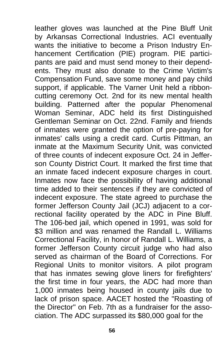leather gloves was launched at the Pine Bluff Unit by Arkansas Correctional Industries. ACI eventually wants the initiative to become a Prison Industry En hancement Certification (PIE) program. PIE partici pants are paid and must send money to their depend ents. They must also donate to the Crime Victim's Compensation Fund, save some money and pay child support, if applicable. The Varner Unit held a ribbon cutting ceremony Oct. 2nd for its new mental health building. Patterned after the popular Phenomenal Woman Seminar, ADC held its first Distinguished Gentleman Seminar on Oct. 22nd. Family and friends of inmates were granted the option of pre-paying for inmates' calls using a credit card. Curtis Pittman, an inmate at the Maximum Security Unit, was convicted of three counts of indecent exposure Oct. 24 in Jeffer son County District Court. It marked the first time that an inmate faced indecent exposure charges in court. Inmates now face the possibility of having additional time added to their sentences if they are convicted of indecent exposure. The state agreed to purchase the former Jefferson County Jail (JCJ) adjacent to a cor rectional facility operated by the ADC in Pine Bluff. The 106-bed jail, which opened in 1991, was sold for \$3 million and was renamed the Randall L. Williams Correctional Facility, in honor of Randall L. Williams, a former Jefferson County circuit judge who had also served as chairman of the Board of Corrections. For Regional Units to monitor visitors. A pilot program that has inmates sewing glove liners for firefighters' the first time in four years, the ADC had more than 1,000 inmates being housed in county jails due to lack of prison space. AACET hosted the "Roasting of the Director" on Feb. 7th as a fundraiser for the asso ciation. The ADC surpassed its \$80,000 goal for the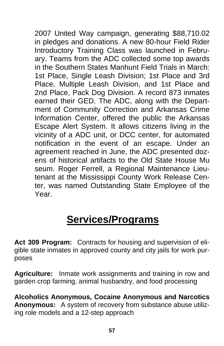2007 United Way campaign, generating \$88,710.02 in pledges and donations. A new 80-hour Field Rider Introductory Training Class was launched in Febru ary. Teams from the ADC collected some top awards in the Southern States Manhunt Field Trials in March: 1st Place, Single Leash Division; 1st Place and 3rd Place, Multiple Leash Division, and 1st Place and 2nd Place, Pack Dog Division. A record 873 inmates earned their GED. The ADC, along with the Depart ment of Community Correction and Arkansas Crime Information Center, offered the public the Arkansas Escape Alert System. It allows citizens living in the vicinity of a ADC unit, or DCC center, for automated notification in the event of an escape. Under an agreement reached in June, the ADC presented doz ens of historical artifacts to the Old State House Mu seum. Roger Ferrell, a Regional Maintenance Lieu tenant at the Mississippi County Work Release Cen ter, was named Outstanding State Employee of the Year.

# **Services/Programs**

**Act 309 Program:** Contracts for housing and supervision of eligible state inmates in approved county and city jails for work purposes

**Agriculture:** Inmate work assignments and training in row and garden crop farming, animal husbandry, and food processing

**Alcoholics Anonymous, Cocaine Anonymous and Narcotics Anonymous:** A system of recovery from substance abuse utilizing role models and a 12-step approach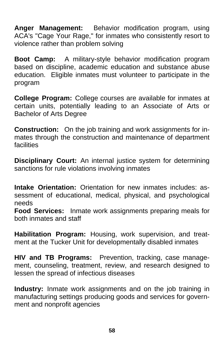**Anger Management:** Behavior modification program, using ACA's "Cage Your Rage," for inmates who consistently resort to violence rather than problem solving

**Boot Camp:** A military-style behavior modification program based on discipline, academic education and substance abuse education. Eligible inmates must volunteer to participate in the program

**College Program:** College courses are available for inmates at certain units, potentially leading to an Associate of Arts or Bachelor of Arts Degree

**Construction:** On the job training and work assignments for inmates through the construction and maintenance of department facilities

**Disciplinary Court:** An internal justice system for determining sanctions for rule violations involving inmates

**Intake Orientation:** Orientation for new inmates includes: assessment of educational, medical, physical, and psychological needs

**Food Services:** Inmate work assignments preparing meals for both inmates and staff

**Habilitation Program:** Housing, work supervision, and treatment at the Tucker Unit for developmentally disabled inmates

**HIV and TB Programs:** Prevention, tracking, case management, counseling, treatment, review, and research designed to lessen the spread of infectious diseases

**Industry:** Inmate work assignments and on the job training in manufacturing settings producing goods and services for government and nonprofit agencies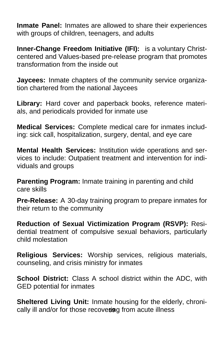**Inmate Panel:** Inmates are allowed to share their experiences with groups of children, teenagers, and adults

**Inner-Change Freedom Initiative (IFI):** is a voluntary Christcentered and Values-based pre-release program that promotes transformation from the inside out

**Jaycees:** Inmate chapters of the community service organization chartered from the national Jaycees

**Library:** Hard cover and paperback books, reference materials, and periodicals provided for inmate use

**Medical Services:** Complete medical care for inmates including: sick call, hospitalization, surgery, dental, and eye care

**Mental Health Services:** Institution wide operations and services to include: Outpatient treatment and intervention for individuals and groups

**Parenting Program:** Inmate training in parenting and child care skills

**Pre-Release:** A 30-day training program to prepare inmates for their return to the community

**Reduction of Sexual Victimization Program (RSVP):** Residential treatment of compulsive sexual behaviors, particularly child molestation

**Religious Services:** Worship services, religious materials, counseling, and crisis ministry for inmates

**School District:** Class A school district within the ADC, with GED potential for inmates

cally ill and/or for those recovering from acute illness **Sheltered Living Unit:** Inmate housing for the elderly, chroni-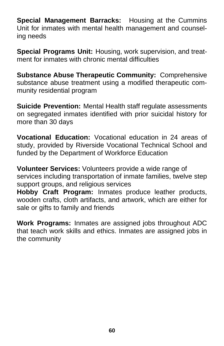**Special Management Barracks:** Housing at the Cummins Unit for inmates with mental health management and counseling needs

**Special Programs Unit:** Housing, work supervision, and treatment for inmates with chronic mental difficulties

**Substance Abuse Therapeutic Community:** Comprehensive substance abuse treatment using a modified therapeutic community residential program

**Suicide Prevention:** Mental Health staff regulate assessments on segregated inmates identified with prior suicidal history for more than 30 days

**Vocational Education:** Vocational education in 24 areas of study, provided by Riverside Vocational Technical School and funded by the Department of Workforce Education

**Volunteer Services:** Volunteers provide a wide range of services including transportation of inmate families, twelve step support groups, and religious services

**Hobby Craft Program:** Inmates produce leather products, wooden crafts, cloth artifacts, and artwork, which are either for sale or gifts to family and friends

**Work Programs:** Inmates are assigned jobs throughout ADC that teach work skills and ethics. Inmates are assigned jobs in the community